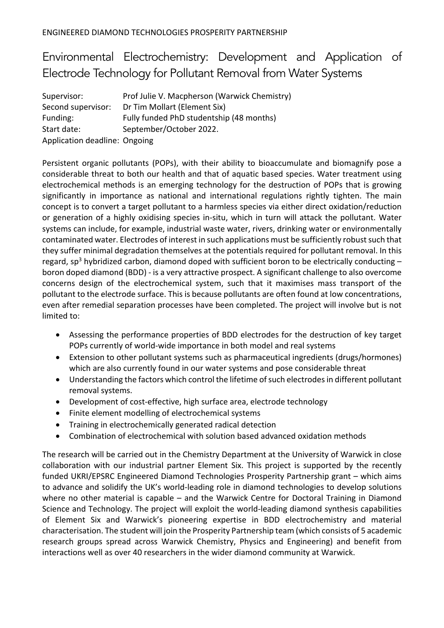## Environmental Electrochemistry: Development and Application of Electrode Technology for Pollutant Removal from Water Systems

| Supervisor:                   | Prof Julie V. Macpherson (Warwick Chemistry) |
|-------------------------------|----------------------------------------------|
| Second supervisor:            | Dr Tim Mollart (Element Six)                 |
| Funding:                      | Fully funded PhD studentship (48 months)     |
| Start date:                   | September/October 2022.                      |
| Application deadline: Ongoing |                                              |

Persistent organic pollutants (POPs), with their ability to bioaccumulate and biomagnify pose a considerable threat to both our health and that of aquatic based species. Water treatment using electrochemical methods is an emerging technology for the destruction of POPs that is growing significantly in importance as national and international regulations rightly tighten. The main concept is to convert a target pollutant to a harmless species via either direct oxidation/reduction or generation of a highly oxidising species in-situ, which in turn will attack the pollutant. Water systems can include, for example, industrial waste water, rivers, drinking water or environmentally contaminated water. Electrodes of interest in such applications must be sufficiently robust such that they suffer minimal degradation themselves at the potentials required for pollutant removal. In this regard, sp<sup>3</sup> hybridized carbon, diamond doped with sufficient boron to be electrically conducting  $$ boron doped diamond (BDD) - is a very attractive prospect. A significant challenge to also overcome concerns design of the electrochemical system, such that it maximises mass transport of the pollutant to the electrode surface. This is because pollutants are often found at low concentrations, even after remedial separation processes have been completed. The project will involve but is not limited to:

- Assessing the performance properties of BDD electrodes for the destruction of key target POPs currently of world-wide importance in both model and real systems
- Extension to other pollutant systems such as pharmaceutical ingredients (drugs/hormones) which are also currently found in our water systems and pose considerable threat
- Understanding the factors which control the lifetime of such electrodes in different pollutant removal systems.
- Development of cost-effective, high surface area, electrode technology
- Finite element modelling of electrochemical systems
- Training in electrochemically generated radical detection
- Combination of electrochemical with solution based advanced oxidation methods

The research will be carried out in the Chemistry Department at the University of Warwick in close collaboration with our industrial partner Element Six. This project is supported by the recently funded UKRI/EPSRC Engineered Diamond Technologies Prosperity Partnership grant – which aims to advance and solidify the UK's world-leading role in diamond technologies to develop solutions where no other material is capable – and the Warwick Centre for Doctoral Training in Diamond Science and Technology. The project will exploit the world-leading diamond synthesis capabilities of Element Six and Warwick's pioneering expertise in BDD electrochemistry and material characterisation. The student will join the Prosperity Partnership team (which consists of 5 academic research groups spread across Warwick Chemistry, Physics and Engineering) and benefit from interactions well as over 40 researchers in the wider diamond community at Warwick.